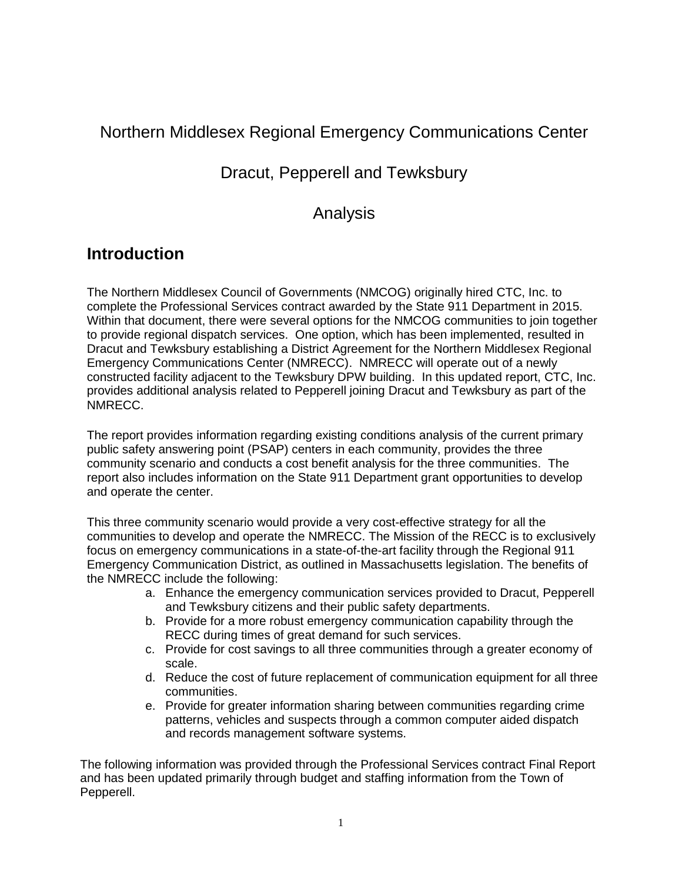# Northern Middlesex Regional Emergency Communications Center

# Dracut, Pepperell and Tewksbury

# Analysis

# **Introduction**

The Northern Middlesex Council of Governments (NMCOG) originally hired CTC, Inc. to complete the Professional Services contract awarded by the State 911 Department in 2015. Within that document, there were several options for the NMCOG communities to join together to provide regional dispatch services. One option, which has been implemented, resulted in Dracut and Tewksbury establishing a District Agreement for the Northern Middlesex Regional Emergency Communications Center (NMRECC). NMRECC will operate out of a newly constructed facility adjacent to the Tewksbury DPW building. In this updated report, CTC, Inc. provides additional analysis related to Pepperell joining Dracut and Tewksbury as part of the NMRECC.

The report provides information regarding existing conditions analysis of the current primary public safety answering point (PSAP) centers in each community, provides the three community scenario and conducts a cost benefit analysis for the three communities. The report also includes information on the State 911 Department grant opportunities to develop and operate the center.

This three community scenario would provide a very cost-effective strategy for all the communities to develop and operate the NMRECC. The Mission of the RECC is to exclusively focus on emergency communications in a state-of-the-art facility through the Regional 911 Emergency Communication District, as outlined in Massachusetts legislation. The benefits of the NMRECC include the following:

- a. Enhance the emergency communication services provided to Dracut, Pepperell and Tewksbury citizens and their public safety departments.
- b. Provide for a more robust emergency communication capability through the RECC during times of great demand for such services.
- c. Provide for cost savings to all three communities through a greater economy of scale.
- d. Reduce the cost of future replacement of communication equipment for all three communities.
- e. Provide for greater information sharing between communities regarding crime patterns, vehicles and suspects through a common computer aided dispatch and records management software systems.

The following information was provided through the Professional Services contract Final Report and has been updated primarily through budget and staffing information from the Town of Pepperell.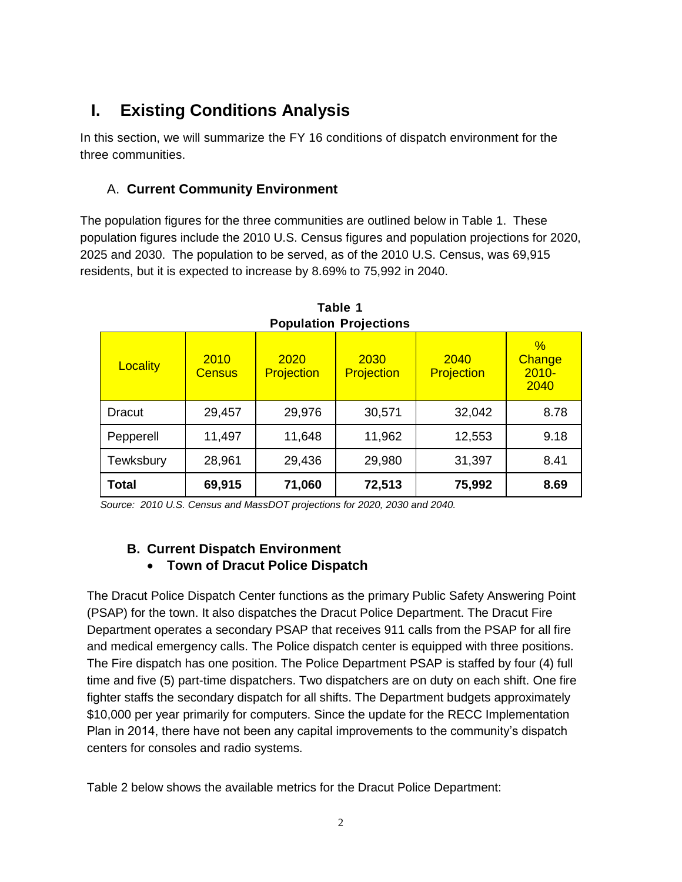# **I. Existing Conditions Analysis**

In this section, we will summarize the FY 16 conditions of dispatch environment for the three communities.

### A. **Current Community Environment**

The population figures for the three communities are outlined below in Table 1. These population figures include the 2010 U.S. Census figures and population projections for 2020, 2025 and 2030. The population to be served, as of the 2010 U.S. Census, was 69,915 residents, but it is expected to increase by 8.69% to 75,992 in 2040.

| FUPUIAUUII FIUJELUUIIS |                       |                           |                    |                           |                                    |  |  |
|------------------------|-----------------------|---------------------------|--------------------|---------------------------|------------------------------------|--|--|
| Locality               | 2010<br><b>Census</b> | 2020<br><b>Projection</b> | 2030<br>Projection | 2040<br><b>Projection</b> | $\%$<br>Change<br>$2010 -$<br>2040 |  |  |
| Dracut                 | 29,457                | 29,976                    | 30,571             | 32,042                    | 8.78                               |  |  |
| Pepperell              | 11,497                | 11,648                    | 11,962             | 12,553                    | 9.18                               |  |  |
| Tewksbury              | 28,961                | 29,436                    | 29,980             | 31,397                    | 8.41                               |  |  |
| Total                  | 69,915                | 71,060                    | 72,513             | 75,992                    | 8.69                               |  |  |

**Table 1 Population Projections**

*Source: 2010 U.S. Census and MassDOT projections for 2020, 2030 and 2040.*

### **B. Current Dispatch Environment Town of Dracut Police Dispatch**

The Dracut Police Dispatch Center functions as the primary Public Safety Answering Point (PSAP) for the town. It also dispatches the Dracut Police Department. The Dracut Fire Department operates a secondary PSAP that receives 911 calls from the PSAP for all fire and medical emergency calls. The Police dispatch center is equipped with three positions. The Fire dispatch has one position. The Police Department PSAP is staffed by four (4) full time and five (5) part-time dispatchers. Two dispatchers are on duty on each shift. One fire fighter staffs the secondary dispatch for all shifts. The Department budgets approximately \$10,000 per year primarily for computers. Since the update for the RECC Implementation Plan in 2014, there have not been any capital improvements to the community's dispatch centers for consoles and radio systems.

Table 2 below shows the available metrics for the Dracut Police Department: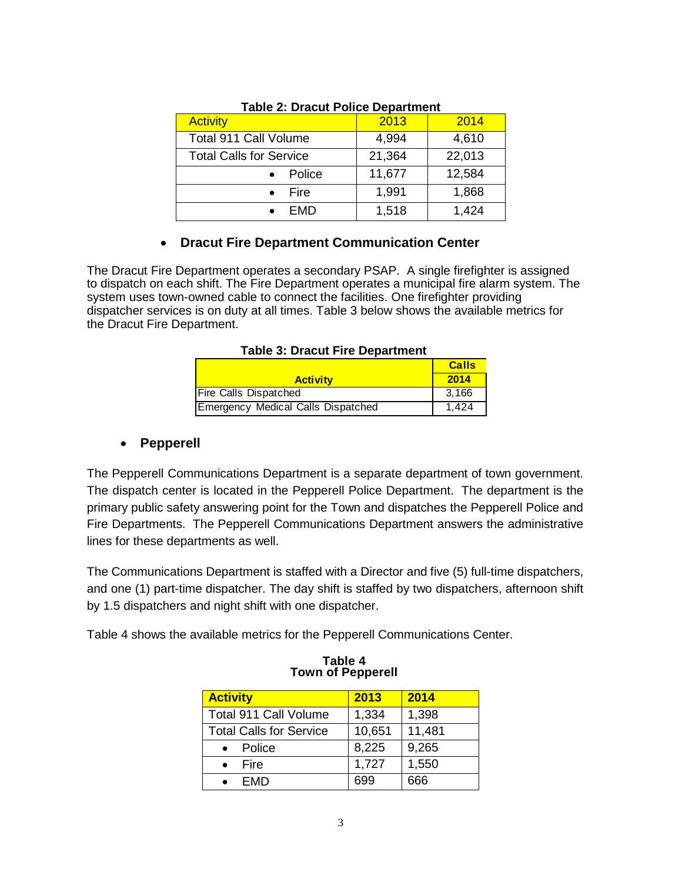| TANIC 2. DIAGAL I ONGC DOMITING IL |        |        |  |  |  |
|------------------------------------|--------|--------|--|--|--|
| <b>Activity</b>                    | 2013   | 2014   |  |  |  |
| <b>Total 911 Call Volume</b>       | 4,994  | 4,610  |  |  |  |
| <b>Total Calls for Service</b>     | 21,364 | 22,013 |  |  |  |
| Police                             | 11,677 | 12,584 |  |  |  |
| Fire                               | 1,991  | 1,868  |  |  |  |
| FMD                                | 1,518  | 1,424  |  |  |  |

#### **Table 2: Dracut Police Department**

### **Dracut Fire Department Communication Center**

The Dracut Fire Department operates a secondary PSAP. A single firefighter is assigned to dispatch on each shift. The Fire Department operates a municipal fire alarm system. The system uses town-owned cable to connect the facilities. One firefighter providing dispatcher services is on duty at all times. Table 3 below shows the available metrics for the Dracut Fire Department.

|                                    | <b>Calls</b> |
|------------------------------------|--------------|
| <b>Activity</b>                    | 2014         |
| <b>Fire Calls Dispatched</b>       | 3.166        |
| Emergency Medical Calls Dispatched | 1.424        |

#### **Pepperell**

The Pepperell Communications Department is a separate department of town government. The dispatch center is located in the Pepperell Police Department. The department is the primary public safety answering point for the Town and dispatches the Pepperell Police and Fire Departments. The Pepperell Communications Department answers the administrative lines for these departments as well.

The Communications Department is staffed with a Director and five (5) full-time dispatchers, and one (1) part-time dispatcher. The day shift is staffed by two dispatchers, afternoon shift by 1.5 dispatchers and night shift with one dispatcher.

Table 4 shows the available metrics for the Pepperell Communications Center.

| <b>Activity</b>                | 2013   | 2014   |
|--------------------------------|--------|--------|
| Total 911 Call Volume          | 1,334  | 1,398  |
| <b>Total Calls for Service</b> | 10,651 | 11,481 |
| Police<br>$\bullet$            | 8,225  | 9,265  |
| $\bullet$ Fire                 | 1,727  | 1,550  |
| <b>FMD</b>                     |        | 666    |

#### **Table 4 Town of Pepperell**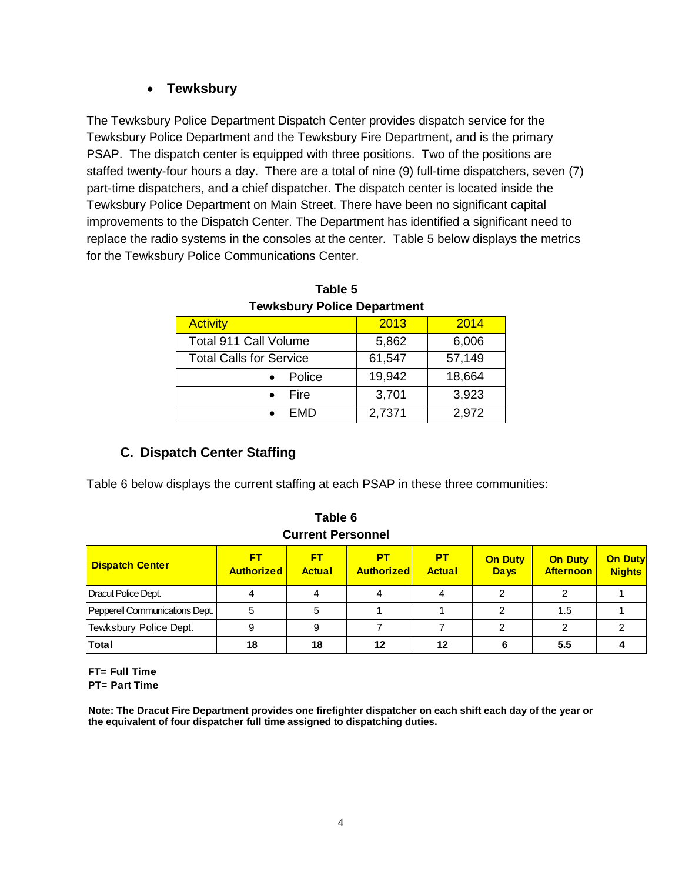### **Tewksbury**

The Tewksbury Police Department Dispatch Center provides dispatch service for the Tewksbury Police Department and the Tewksbury Fire Department, and is the primary PSAP. The dispatch center is equipped with three positions. Two of the positions are staffed twenty-four hours a day. There are a total of nine (9) full-time dispatchers, seven (7) part-time dispatchers, and a chief dispatcher. The dispatch center is located inside the Tewksbury Police Department on Main Street. There have been no significant capital improvements to the Dispatch Center. The Department has identified a significant need to replace the radio systems in the consoles at the center. Table 5 below displays the metrics for the Tewksbury Police Communications Center.

| Temponi y Louce Rebartment     |        |        |  |  |
|--------------------------------|--------|--------|--|--|
| <b>Activity</b>                | 2013   | 2014   |  |  |
| Total 911 Call Volume          | 5,862  | 6,006  |  |  |
| <b>Total Calls for Service</b> | 61,547 | 57,149 |  |  |
| Police                         | 19,942 | 18,664 |  |  |
| Fire                           | 3,701  | 3,923  |  |  |
| <b>FMD</b>                     | 2,7371 | 2,972  |  |  |

**Table 5 Tewksbury Police Department**

# **C. Dispatch Center Staffing**

Table 6 below displays the current staffing at each PSAP in these three communities:

|                                |                         | <b>Current Personnel</b> |                         |                            |                               |                                    |                                 |
|--------------------------------|-------------------------|--------------------------|-------------------------|----------------------------|-------------------------------|------------------------------------|---------------------------------|
| <b>Dispatch Center</b>         | FT<br><b>Authorized</b> | FT<br><b>Actual</b>      | PТ<br><b>Authorized</b> | <b>PT</b><br><b>Actual</b> | <b>On Duty</b><br><b>Days</b> | <b>On Duty</b><br><b>Afternoon</b> | <b>On Duty</b><br><b>Nights</b> |
| Dracut Police Dept.            |                         |                          |                         |                            |                               |                                    |                                 |
| Pepperell Communications Dept. | 5                       | 5                        |                         |                            |                               | 1.5                                |                                 |
| Tewksbury Police Dept.         | 9                       | 9                        |                         |                            |                               |                                    |                                 |
| Total                          | 18                      | 18                       |                         | 12                         |                               | 5.5                                |                                 |

**Table 6 Current Personnel**

**FT= Full Time PT= Part Time**

**Note: The Dracut Fire Department provides one firefighter dispatcher on each shift each day of the year or the equivalent of four dispatcher full time assigned to dispatching duties.**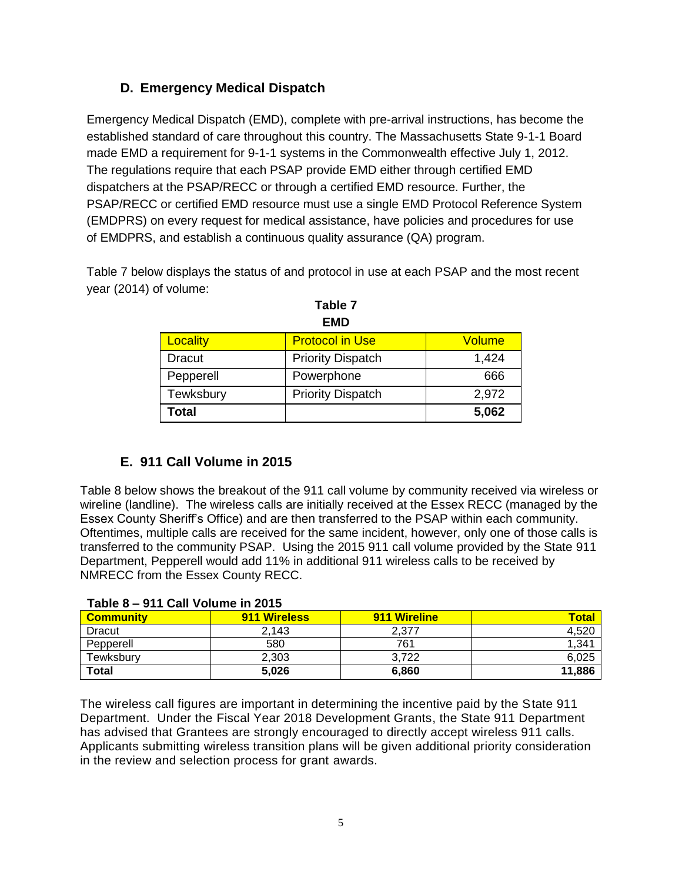### **D. Emergency Medical Dispatch**

Emergency Medical Dispatch (EMD), complete with pre-arrival instructions, has become the established standard of care throughout this country. The Massachusetts State 9-1-1 Board made EMD a requirement for 9-1-1 systems in the Commonwealth effective July 1, 2012. The regulations require that each PSAP provide EMD either through certified EMD dispatchers at the PSAP/RECC or through a certified EMD resource. Further, the PSAP/RECC or certified EMD resource must use a single EMD Protocol Reference System (EMDPRS) on every request for medical assistance, have policies and procedures for use of EMDPRS, and establish a continuous quality assurance (QA) program.

Table 7 below displays the status of and protocol in use at each PSAP and the most recent year (2014) of volume:

| EMD       |                          |        |  |  |
|-----------|--------------------------|--------|--|--|
| Locality  | <b>Protocol in Use</b>   | Volume |  |  |
| Dracut    | <b>Priority Dispatch</b> | 1,424  |  |  |
| Pepperell | Powerphone               | 666    |  |  |
| Tewksbury | <b>Priority Dispatch</b> | 2,972  |  |  |
| Total     |                          | 5,062  |  |  |

**Table 7 EMD**

# **E. 911 Call Volume in 2015**

Table 8 below shows the breakout of the 911 call volume by community received via wireless or wireline (landline). The wireless calls are initially received at the Essex RECC (managed by the Essex County Sheriff's Office) and are then transferred to the PSAP within each community. Oftentimes, multiple calls are received for the same incident, however, only one of those calls is transferred to the community PSAP. Using the 2015 911 call volume provided by the State 911 Department, Pepperell would add 11% in additional 911 wireless calls to be received by NMRECC from the Essex County RECC.

| $1$ adig $0 - 3$ i I vali vviding III zvij |              |              |              |  |  |
|--------------------------------------------|--------------|--------------|--------------|--|--|
| <b>Community</b>                           | 911 Wireless | 911 Wireline | <b>Total</b> |  |  |
| <b>Dracut</b>                              | 2.143        | 2,377        | 4,520        |  |  |
| Pepperell                                  | 580          | 761          | 1,341        |  |  |
| Tewksburv                                  | 2.303        | 3.722        | 6.025        |  |  |
| <b>Total</b>                               | 5,026        | 6,860        | 11,886       |  |  |

### **Table 8 – 911 Call Volume in 2015**

The wireless call figures are important in determining the incentive paid by the State 911 Department. Under the Fiscal Year 2018 Development Grants, the State 911 Department has advised that Grantees are strongly encouraged to directly accept wireless 911 calls. Applicants submitting wireless transition plans will be given additional priority consideration in the review and selection process for grant awards.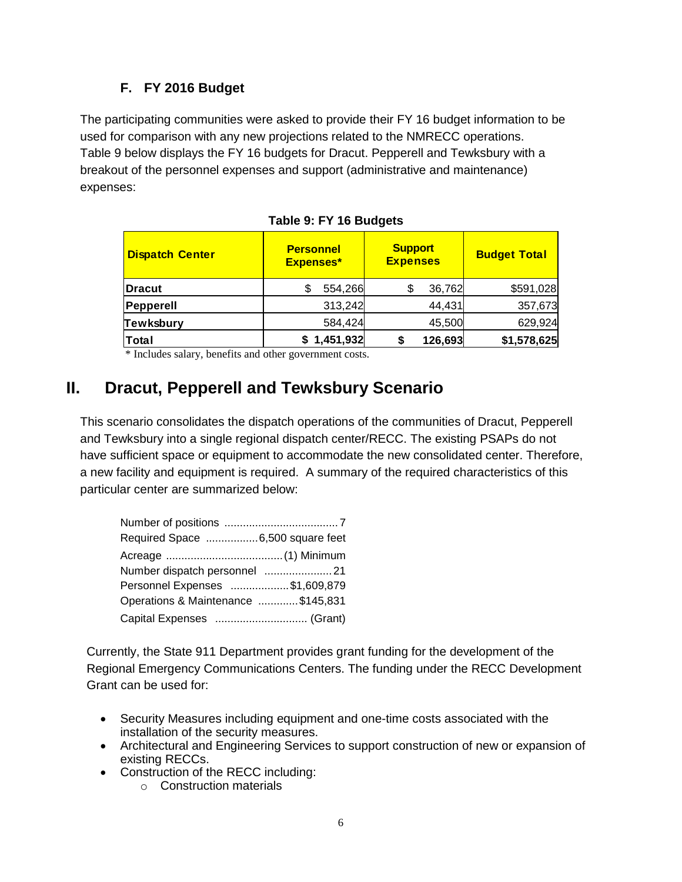## **F. FY 2016 Budget**

The participating communities were asked to provide their FY 16 budget information to be used for comparison with any new projections related to the NMRECC operations. Table 9 below displays the FY 16 budgets for Dracut. Pepperell and Tewksbury with a breakout of the personnel expenses and support (administrative and maintenance) expenses:

| <b>Dispatch Center</b> | <b>Personnel</b><br><b>Expenses*</b> | <b>Support</b><br><b>Expenses</b> | <b>Budget Total</b> |
|------------------------|--------------------------------------|-----------------------------------|---------------------|
| <b>Dracut</b>          | 554,266                              | 36,762                            | \$591,028           |
| Pepperell              | 313,242                              | 44,431                            | 357,673             |
| <b>Tewksbury</b>       | 584,424                              | 45,500                            | 629,924             |
| Total                  | \$1,451,932                          | 126,693                           | \$1,578,625         |

|  |  | Table 9: FY 16 Budgets |
|--|--|------------------------|

\* Includes salary, benefits and other government costs.

# **II. Dracut, Pepperell and Tewksbury Scenario**

This scenario consolidates the dispatch operations of the communities of Dracut, Pepperell and Tewksbury into a single regional dispatch center/RECC. The existing PSAPs do not have sufficient space or equipment to accommodate the new consolidated center. Therefore, a new facility and equipment is required. A summary of the required characteristics of this particular center are summarized below:

| Required Space 6,500 square feet   |  |
|------------------------------------|--|
|                                    |  |
|                                    |  |
| Personnel Expenses \$1,609,879     |  |
| Operations & Maintenance \$145,831 |  |
| Capital Expenses  (Grant)          |  |

Currently, the State 911 Department provides grant funding for the development of the Regional Emergency Communications Centers. The funding under the RECC Development Grant can be used for:

- Security Measures including equipment and one-time costs associated with the installation of the security measures.
- Architectural and Engineering Services to support construction of new or expansion of existing RECCs.
- Construction of the RECC including:
	- o Construction materials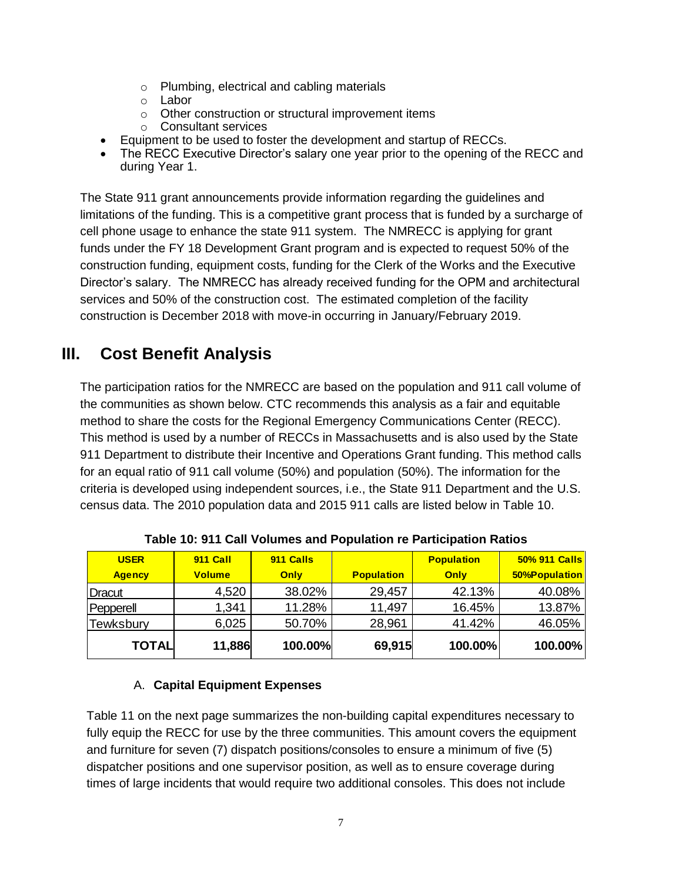- o Plumbing, electrical and cabling materials
- o Labor
- o Other construction or structural improvement items
- o Consultant services
- Equipment to be used to foster the development and startup of RECCs.
- The RECC Executive Director's salary one year prior to the opening of the RECC and during Year 1.

The State 911 grant announcements provide information regarding the guidelines and limitations of the funding. This is a competitive grant process that is funded by a surcharge of cell phone usage to enhance the state 911 system. The NMRECC is applying for grant funds under the FY 18 Development Grant program and is expected to request 50% of the construction funding, equipment costs, funding for the Clerk of the Works and the Executive Director's salary. The NMRECC has already received funding for the OPM and architectural services and 50% of the construction cost. The estimated completion of the facility construction is December 2018 with move-in occurring in January/February 2019.

# **III. Cost Benefit Analysis**

The participation ratios for the NMRECC are based on the population and 911 call volume of the communities as shown below. CTC recommends this analysis as a fair and equitable method to share the costs for the Regional Emergency Communications Center (RECC). This method is used by a number of RECCs in Massachusetts and is also used by the State 911 Department to distribute their Incentive and Operations Grant funding. This method calls for an equal ratio of 911 call volume (50%) and population (50%). The information for the criteria is developed using independent sources, i.e., the State 911 Department and the U.S. census data. The 2010 population data and 2015 911 calls are listed below in Table 10.

| <b>USER</b>      | 911 Call      | 911 Calls |                   | <b>Population</b> | 50% 911 Calls        |
|------------------|---------------|-----------|-------------------|-------------------|----------------------|
| <b>Agency</b>    | <b>Volume</b> | Only      | <b>Population</b> | Only              | <b>50%Population</b> |
| Dracut           | 4,520         | 38.02%    | 29,457            | 42.13%            | 40.08%               |
| Pepperell        | 1,341         | 11.28%    | 11,497            | 16.45%            | 13.87%               |
| <b>Tewksbury</b> | 6,025         | 50.70%    | 28,961            | 41.42%            | 46.05%               |
| <b>TOTAL</b>     | 11,886        | 100.00%   | 69,915            | 100.00%           | 100.00%              |

**Table 10: 911 Call Volumes and Population re Participation Ratios**

### A. **Capital Equipment Expenses**

Table 11 on the next page summarizes the non-building capital expenditures necessary to fully equip the RECC for use by the three communities. This amount covers the equipment and furniture for seven (7) dispatch positions/consoles to ensure a minimum of five (5) dispatcher positions and one supervisor position, as well as to ensure coverage during times of large incidents that would require two additional consoles. This does not include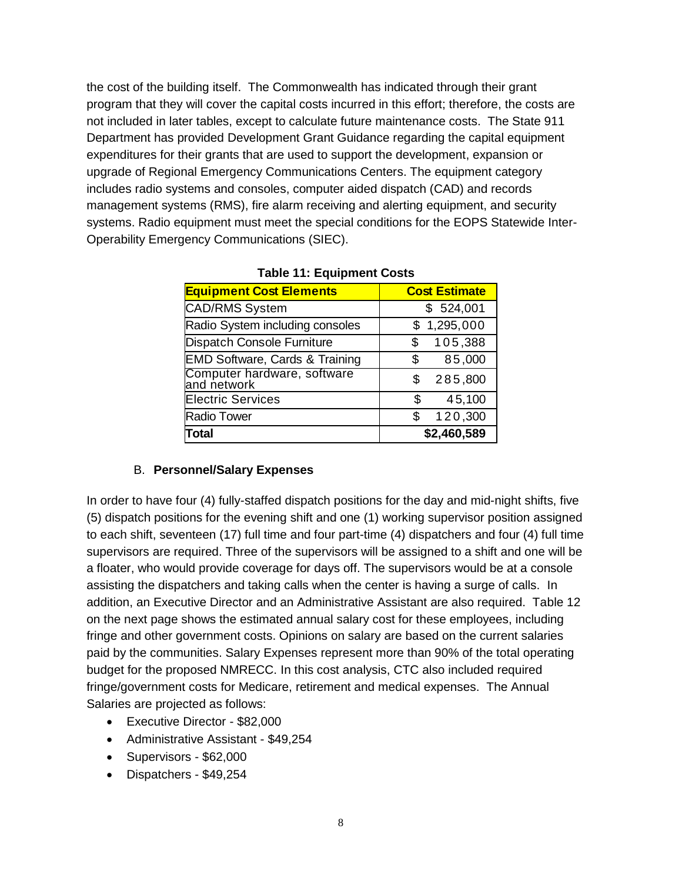the cost of the building itself. The Commonwealth has indicated through their grant program that they will cover the capital costs incurred in this effort; therefore, the costs are not included in later tables, except to calculate future maintenance costs. The State 911 Department has provided Development Grant Guidance regarding the capital equipment expenditures for their grants that are used to support the development, expansion or upgrade of Regional Emergency Communications Centers. The equipment category includes radio systems and consoles, computer aided dispatch (CAD) and records management systems (RMS), fire alarm receiving and alerting equipment, and security systems. Radio equipment must meet the special conditions for the EOPS Statewide Inter-Operability Emergency Communications (SIEC).

| <b>Equipment Cost Elements</b>             | <b>Cost Estimate</b> |
|--------------------------------------------|----------------------|
| CAD/RMS System                             | \$524,001            |
| Radio System including consoles            | \$1,295,000          |
| Dispatch Console Furniture                 | 105,388<br>S         |
| <b>EMD Software, Cards &amp; Training</b>  | 85,000<br>\$         |
| Computer hardware, software<br>and network | 285,800<br>S.        |
| <b>Electric Services</b>                   | 45,100<br>\$         |
| <b>Radio Tower</b>                         | 120,300<br>\$        |
| Total                                      | \$2,460,589          |

#### B. **Personnel/Salary Expenses**

In order to have four (4) fully-staffed dispatch positions for the day and mid-night shifts, five (5) dispatch positions for the evening shift and one (1) working supervisor position assigned to each shift, seventeen (17) full time and four part-time (4) dispatchers and four (4) full time supervisors are required. Three of the supervisors will be assigned to a shift and one will be a floater, who would provide coverage for days off. The supervisors would be at a console assisting the dispatchers and taking calls when the center is having a surge of calls. In addition, an Executive Director and an Administrative Assistant are also required. Table 12 on the next page shows the estimated annual salary cost for these employees, including fringe and other government costs. Opinions on salary are based on the current salaries paid by the communities. Salary Expenses represent more than 90% of the total operating budget for the proposed NMRECC. In this cost analysis, CTC also included required fringe/government costs for Medicare, retirement and medical expenses. The Annual Salaries are projected as follows:

- Executive Director \$82,000
- Administrative Assistant \$49,254
- Supervisors \$62,000
- Dispatchers \$49,254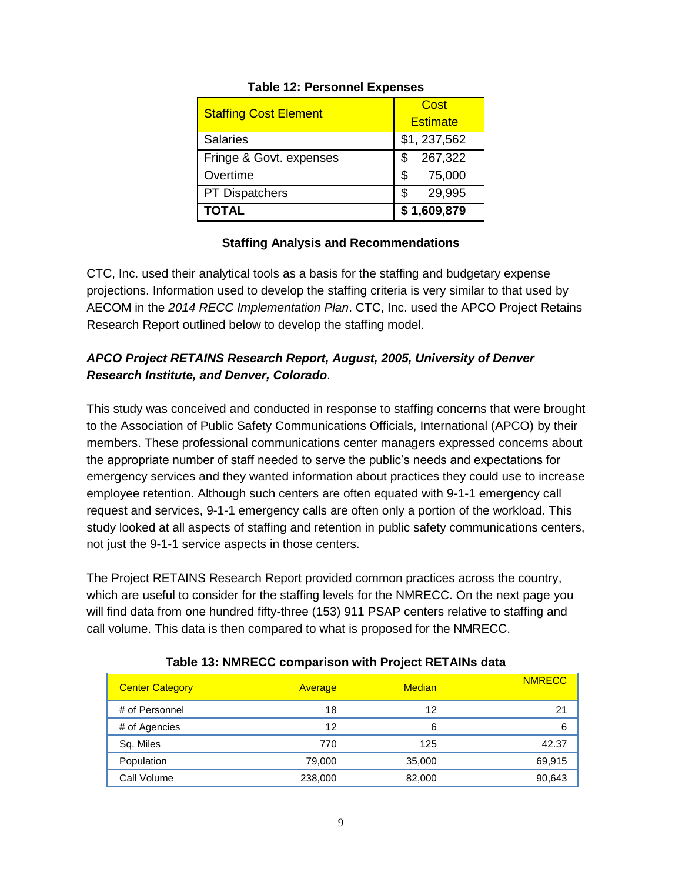| <b>Staffing Cost Element</b> | Cost<br><b>Estimate</b> |  |  |
|------------------------------|-------------------------|--|--|
| <b>Salaries</b>              | \$1, 237, 562           |  |  |
| Fringe & Govt. expenses      | 267,322                 |  |  |
| Overtime                     | \$<br>75,000            |  |  |
| <b>PT Dispatchers</b>        | 29,995<br>S             |  |  |
| <b>TOTAL</b>                 | \$1,609,879             |  |  |

### **Table 12: Personnel Expenses**

### **Staffing Analysis and Recommendations**

CTC, Inc. used their analytical tools as a basis for the staffing and budgetary expense projections. Information used to develop the staffing criteria is very similar to that used by AECOM in the *2014 RECC Implementation Plan*. CTC, Inc. used the APCO Project Retains Research Report outlined below to develop the staffing model.

### *APCO Project RETAINS Research Report, August, 2005, University of Denver Research Institute, and Denver, Colorado*.

This study was conceived and conducted in response to staffing concerns that were brought to the Association of Public Safety Communications Officials, International (APCO) by their members. These professional communications center managers expressed concerns about the appropriate number of staff needed to serve the public's needs and expectations for emergency services and they wanted information about practices they could use to increase employee retention. Although such centers are often equated with 9-1-1 emergency call request and services, 9-1-1 emergency calls are often only a portion of the workload. This study looked at all aspects of staffing and retention in public safety communications centers, not just the 9-1-1 service aspects in those centers.

The Project RETAINS Research Report provided common practices across the country, which are useful to consider for the staffing levels for the NMRECC. On the next page you will find data from one hundred fifty-three (153) 911 PSAP centers relative to staffing and call volume. This data is then compared to what is proposed for the NMRECC.

| <b>Center Category</b> | Average | <b>Median</b> | <b>NMRECC</b> |
|------------------------|---------|---------------|---------------|
| # of Personnel         | 18      | 12            | 21            |
| # of Agencies          | 12      | 6             | 6             |
| Sq. Miles              | 770     | 125           | 42.37         |
| Population             | 79,000  | 35,000        | 69,915        |
| Call Volume            | 238,000 | 82,000        | 90,643        |

#### **Table 13: NMRECC comparison with Project RETAINs data**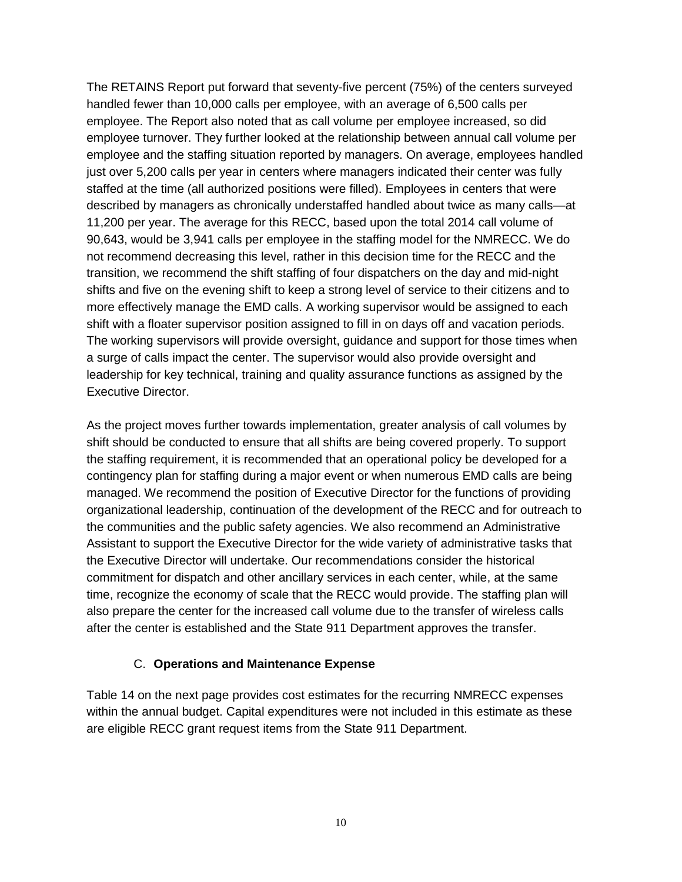The RETAINS Report put forward that seventy-five percent (75%) of the centers surveyed handled fewer than 10,000 calls per employee, with an average of 6,500 calls per employee. The Report also noted that as call volume per employee increased, so did employee turnover. They further looked at the relationship between annual call volume per employee and the staffing situation reported by managers. On average, employees handled just over 5,200 calls per year in centers where managers indicated their center was fully staffed at the time (all authorized positions were filled). Employees in centers that were described by managers as chronically understaffed handled about twice as many calls—at 11,200 per year. The average for this RECC, based upon the total 2014 call volume of 90,643, would be 3,941 calls per employee in the staffing model for the NMRECC. We do not recommend decreasing this level, rather in this decision time for the RECC and the transition, we recommend the shift staffing of four dispatchers on the day and mid-night shifts and five on the evening shift to keep a strong level of service to their citizens and to more effectively manage the EMD calls. A working supervisor would be assigned to each shift with a floater supervisor position assigned to fill in on days off and vacation periods. The working supervisors will provide oversight, guidance and support for those times when a surge of calls impact the center. The supervisor would also provide oversight and leadership for key technical, training and quality assurance functions as assigned by the Executive Director.

As the project moves further towards implementation, greater analysis of call volumes by shift should be conducted to ensure that all shifts are being covered properly. To support the staffing requirement, it is recommended that an operational policy be developed for a contingency plan for staffing during a major event or when numerous EMD calls are being managed. We recommend the position of Executive Director for the functions of providing organizational leadership, continuation of the development of the RECC and for outreach to the communities and the public safety agencies. We also recommend an Administrative Assistant to support the Executive Director for the wide variety of administrative tasks that the Executive Director will undertake. Our recommendations consider the historical commitment for dispatch and other ancillary services in each center, while, at the same time, recognize the economy of scale that the RECC would provide. The staffing plan will also prepare the center for the increased call volume due to the transfer of wireless calls after the center is established and the State 911 Department approves the transfer.

### C. **Operations and Maintenance Expense**

Table 14 on the next page provides cost estimates for the recurring NMRECC expenses within the annual budget. Capital expenditures were not included in this estimate as these are eligible RECC grant request items from the State 911 Department.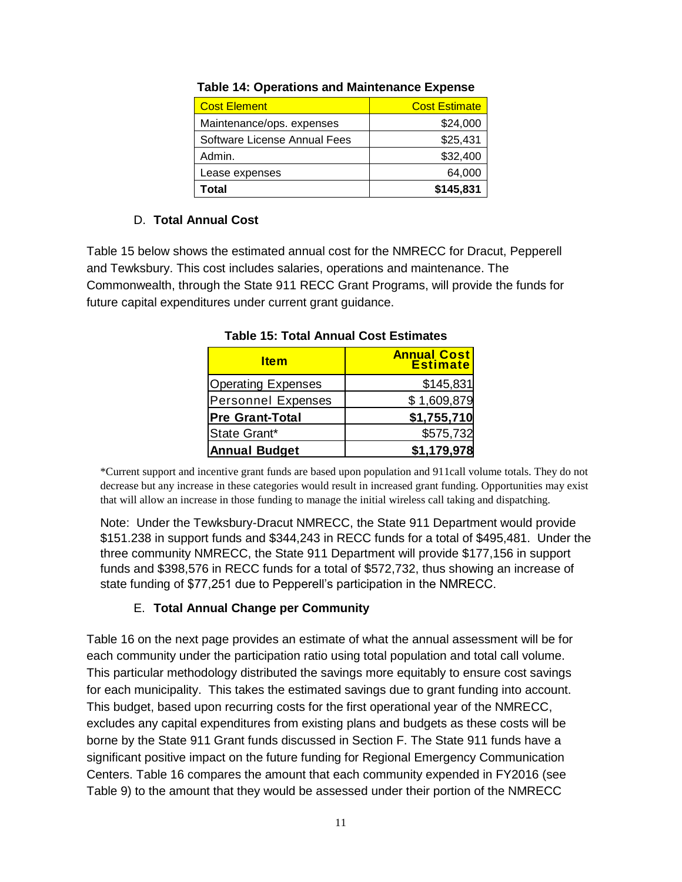| <b>Cost Element</b>          | <b>Cost Estimate</b> |
|------------------------------|----------------------|
| Maintenance/ops. expenses    | \$24,000             |
| Software License Annual Fees | \$25,431             |
| Admin.                       | \$32,400             |
| Lease expenses               | 64,000               |
| Γotal                        | \$145,831            |

### **Table 14: Operations and Maintenance Expense**

### D. **Total Annual Cost**

Table 15 below shows the estimated annual cost for the NMRECC for Dracut, Pepperell and Tewksbury. This cost includes salaries, operations and maintenance. The Commonwealth, through the State 911 RECC Grant Programs, will provide the funds for future capital expenditures under current grant guidance.

| <b>Item</b>               | <b>Annual Cost</b> |
|---------------------------|--------------------|
| <b>Operating Expenses</b> | \$145,831          |
| <b>Personnel Expenses</b> | \$1,609,879        |
| <b>Pre Grant-Total</b>    | \$1,755,710        |
| State Grant*              | \$575,732          |
| <b>Annual Budget</b>      | \$1,179,978        |

**Table 15: Total Annual Cost Estimates**

\*Current support and incentive grant funds are based upon population and 911call volume totals. They do not decrease but any increase in these categories would result in increased grant funding. Opportunities may exist that will allow an increase in those funding to manage the initial wireless call taking and dispatching.

Note: Under the Tewksbury-Dracut NMRECC, the State 911 Department would provide \$151.238 in support funds and \$344,243 in RECC funds for a total of \$495,481. Under the three community NMRECC, the State 911 Department will provide \$177,156 in support funds and \$398,576 in RECC funds for a total of \$572,732, thus showing an increase of state funding of \$77,251 due to Pepperell's participation in the NMRECC.

### E. **Total Annual Change per Community**

Table 16 on the next page provides an estimate of what the annual assessment will be for each community under the participation ratio using total population and total call volume. This particular methodology distributed the savings more equitably to ensure cost savings for each municipality. This takes the estimated savings due to grant funding into account. This budget, based upon recurring costs for the first operational year of the NMRECC, excludes any capital expenditures from existing plans and budgets as these costs will be borne by the State 911 Grant funds discussed in Section F. The State 911 funds have a significant positive impact on the future funding for Regional Emergency Communication Centers. Table 16 compares the amount that each community expended in FY2016 (see Table 9) to the amount that they would be assessed under their portion of the NMRECC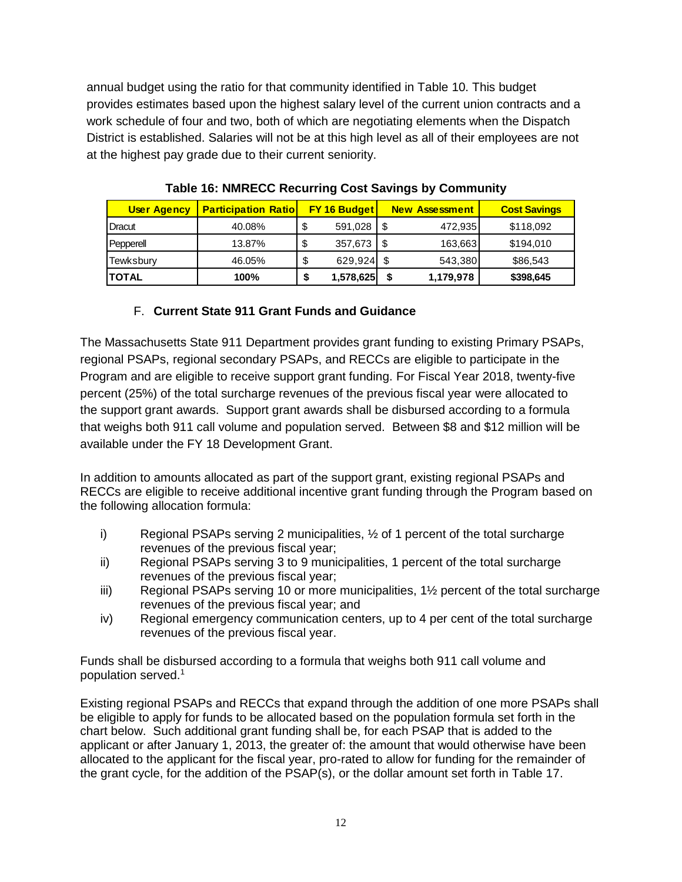annual budget using the ratio for that community identified in Table 10. This budget provides estimates based upon the highest salary level of the current union contracts and a work schedule of four and two, both of which are negotiating elements when the Dispatch District is established. Salaries will not be at this high level as all of their employees are not at the highest pay grade due to their current seniority.

| <b>User Agency</b> | <b>Participation Ratiol</b> |         | <b>FY 16 Budget</b> |     | <b>New Assessment</b> | <b>Cost Savings</b> |
|--------------------|-----------------------------|---------|---------------------|-----|-----------------------|---------------------|
| Dracut             | 40.08%                      | \$      | 591,028             |     | 472,935               | \$118,092           |
| Pepperell          | 13.87%                      | ¢<br>۰D | 357,673             | -\$ | 163,663               | \$194,010           |
| Tewksbury          | 46.05%                      | σ<br>Œ  | $629,924$ \$        |     | 543,380               | \$86,543            |
| <b>TOTAL</b>       | 100%                        | S       | 1,578,625           | \$  | 1,179,978             | \$398,645           |

**Table 16: NMRECC Recurring Cost Savings by Community**

### F. **Current State 911 Grant Funds and Guidance**

The Massachusetts State 911 Department provides grant funding to existing Primary PSAPs, regional PSAPs, regional secondary PSAPs, and RECCs are eligible to participate in the Program and are eligible to receive support grant funding. For Fiscal Year 2018, twenty-five percent (25%) of the total surcharge revenues of the previous fiscal year were allocated to the support grant awards. Support grant awards shall be disbursed according to a formula that weighs both 911 call volume and population served. Between \$8 and \$12 million will be available under the FY 18 Development Grant.

In addition to amounts allocated as part of the support grant, existing regional PSAPs and RECCs are eligible to receive additional incentive grant funding through the Program based on the following allocation formula:

- i) Regional PSAPs serving 2 municipalities,  $\frac{1}{2}$  of 1 percent of the total surcharge revenues of the previous fiscal year;
- ii) Regional PSAPs serving 3 to 9 municipalities, 1 percent of the total surcharge revenues of the previous fiscal year;
- iii) Regional PSAPs serving 10 or more municipalities, 1<sup>1</sup>/<sub>2</sub> percent of the total surcharge revenues of the previous fiscal year; and
- iv) Regional emergency communication centers, up to 4 per cent of the total surcharge revenues of the previous fiscal year.

Funds shall be disbursed according to a formula that weighs both 911 call volume and population served.<sup>1</sup>

Existing regional PSAPs and RECCs that expand through the addition of one more PSAPs shall be eligible to apply for funds to be allocated based on the population formula set forth in the chart below. Such additional grant funding shall be, for each PSAP that is added to the applicant or after January 1, 2013, the greater of: the amount that would otherwise have been allocated to the applicant for the fiscal year, pro-rated to allow for funding for the remainder of the grant cycle, for the addition of the PSAP(s), or the dollar amount set forth in Table 17.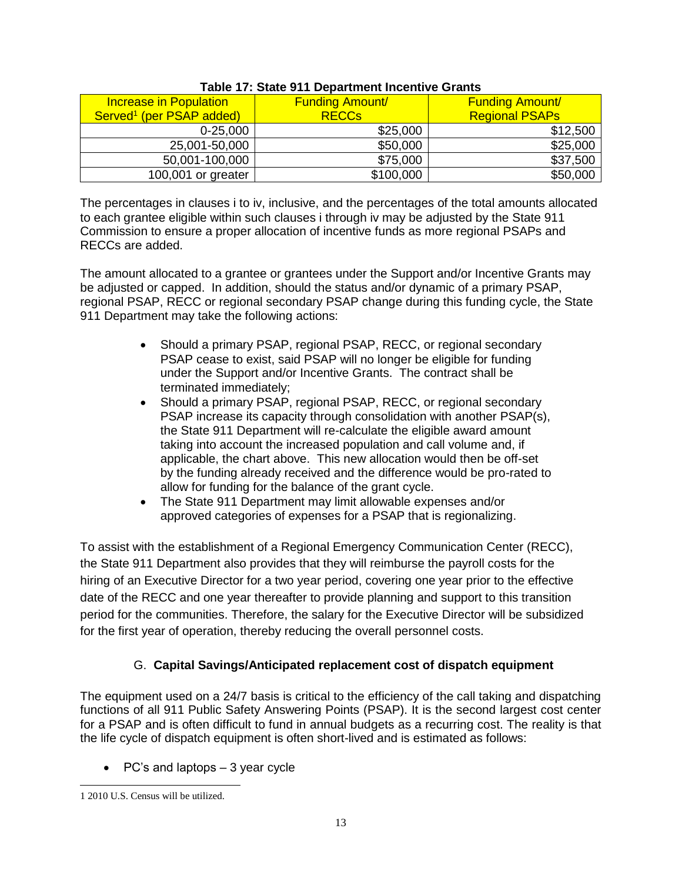| <b>Increase in Population</b>        | <b>Funding Amount/</b> | <b>Funding Amount/</b> |  |
|--------------------------------------|------------------------|------------------------|--|
| Served <sup>1</sup> (per PSAP added) | <b>RECCS</b>           | <b>Regional PSAPs</b>  |  |
| $0 - 25,000$                         | \$25,000               | \$12,500               |  |
| 25,001-50,000                        | \$50,000               | \$25,000               |  |
| 50,001-100,000                       | \$75,000               | \$37,500               |  |
| 100,001 or greater                   | \$100,000              | \$50,000               |  |

### **Table 17: State 911 Department Incentive Grants**

The percentages in clauses i to iv, inclusive, and the percentages of the total amounts allocated to each grantee eligible within such clauses i through iv may be adjusted by the State 911 Commission to ensure a proper allocation of incentive funds as more regional PSAPs and RECCs are added.

The amount allocated to a grantee or grantees under the Support and/or Incentive Grants may be adjusted or capped. In addition, should the status and/or dynamic of a primary PSAP, regional PSAP, RECC or regional secondary PSAP change during this funding cycle, the State 911 Department may take the following actions:

- Should a primary PSAP, regional PSAP, RECC, or regional secondary PSAP cease to exist, said PSAP will no longer be eligible for funding under the Support and/or Incentive Grants. The contract shall be terminated immediately;
- Should a primary PSAP, regional PSAP, RECC, or regional secondary PSAP increase its capacity through consolidation with another PSAP(s), the State 911 Department will re-calculate the eligible award amount taking into account the increased population and call volume and, if applicable, the chart above. This new allocation would then be off-set by the funding already received and the difference would be pro-rated to allow for funding for the balance of the grant cycle.
- The State 911 Department may limit allowable expenses and/or approved categories of expenses for a PSAP that is regionalizing.

To assist with the establishment of a Regional Emergency Communication Center (RECC), the State 911 Department also provides that they will reimburse the payroll costs for the hiring of an Executive Director for a two year period, covering one year prior to the effective date of the RECC and one year thereafter to provide planning and support to this transition period for the communities. Therefore, the salary for the Executive Director will be subsidized for the first year of operation, thereby reducing the overall personnel costs.

### G. **Capital Savings/Anticipated replacement cost of dispatch equipment**

The equipment used on a 24/7 basis is critical to the efficiency of the call taking and dispatching functions of all 911 Public Safety Answering Points (PSAP). It is the second largest cost center for a PSAP and is often difficult to fund in annual budgets as a recurring cost. The reality is that the life cycle of dispatch equipment is often short-lived and is estimated as follows:

 $\bullet$  PC's and laptops  $-3$  year cycle

 $\overline{\phantom{a}}$ 1 2010 U.S. Census will be utilized.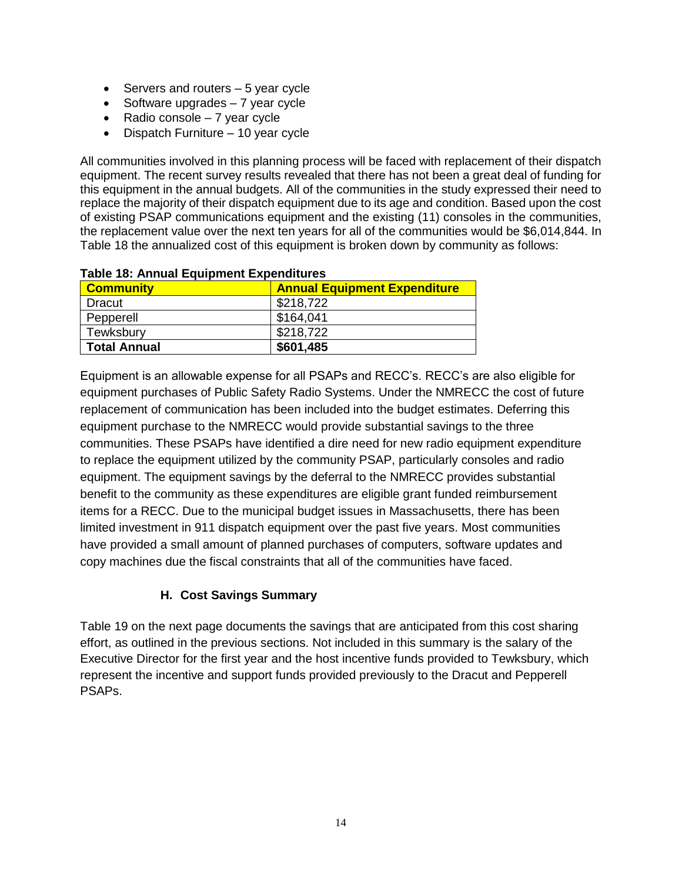- $\bullet$  Servers and routers  $-5$  year cycle
- $\bullet$  Software upgrades  $-7$  year cycle
- Radio console  $-7$  year cycle
- Dispatch Furniture 10 year cycle

All communities involved in this planning process will be faced with replacement of their dispatch equipment. The recent survey results revealed that there has not been a great deal of funding for this equipment in the annual budgets. All of the communities in the study expressed their need to replace the majority of their dispatch equipment due to its age and condition. Based upon the cost of existing PSAP communications equipment and the existing (11) consoles in the communities, the replacement value over the next ten years for all of the communities would be \$6,014,844. In Table 18 the annualized cost of this equipment is broken down by community as follows:

| <b>Community</b>    | <b>Annual Equipment Expenditure</b> |  |  |
|---------------------|-------------------------------------|--|--|
| Dracut              | \$218,722                           |  |  |
| Pepperell           | \$164.041                           |  |  |
| Tewksbury           | \$218,722                           |  |  |
| <b>Total Annual</b> | \$601,485                           |  |  |

#### **Table 18: Annual Equipment Expenditures**

Equipment is an allowable expense for all PSAPs and RECC's. RECC's are also eligible for equipment purchases of Public Safety Radio Systems. Under the NMRECC the cost of future replacement of communication has been included into the budget estimates. Deferring this equipment purchase to the NMRECC would provide substantial savings to the three communities. These PSAPs have identified a dire need for new radio equipment expenditure to replace the equipment utilized by the community PSAP, particularly consoles and radio equipment. The equipment savings by the deferral to the NMRECC provides substantial benefit to the community as these expenditures are eligible grant funded reimbursement items for a RECC. Due to the municipal budget issues in Massachusetts, there has been limited investment in 911 dispatch equipment over the past five years. Most communities have provided a small amount of planned purchases of computers, software updates and copy machines due the fiscal constraints that all of the communities have faced.

### **H. Cost Savings Summary**

Table 19 on the next page documents the savings that are anticipated from this cost sharing effort, as outlined in the previous sections. Not included in this summary is the salary of the Executive Director for the first year and the host incentive funds provided to Tewksbury, which represent the incentive and support funds provided previously to the Dracut and Pepperell PSAPs.